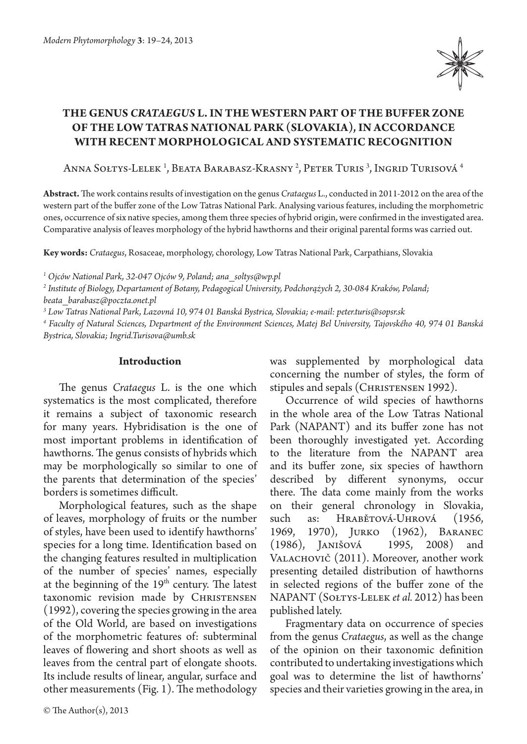

# **The genus** *Crataegus* **L. in the western part of the buffer zone of the Low Tatras National Park (Slovakia), in accordance with recent morphological and systematic recognition**

Anna Sołtys-Lelek <sup>i</sup>, Beata Barabasz-Krasny <sup>2</sup>, Peter Turis <sup>3</sup>, Ingrid Turisová <sup>4</sup>

**Abstract.** The work contains results of investigation on the genus *Crataegus* L., conducted in 2011-2012 on the area of the western part of the buffer zone of the Low Tatras National Park. Analysing various features, including the morphometric ones, occurrence of six native species, among them three species of hybrid origin, were confirmed in the investigated area. Comparative analysis of leaves morphology of the hybrid hawthorns and their original parental forms was carried out.

**Key words:** *Crataegus*, Rosaceae, morphology, chorology, Low Tatras National Park, Carpathians, Slovakia

*1 Ojców National Park, 32-047 Ojców 9, Poland; ana\_soltys@wp.pl*

*2 Institute of Biology, Departament of Botany, Pedagogical University, Podchorążych 2, 30-084 Kraków, Poland; beata\_barabasz@poczta.onet.pl*

*3 Low Tatras National Park, Lazovná 10, 974 01 Banská Bystrica, Slovakia; e-mail: peter.turis@sopsr.sk*

*4 Faculty of Natural Sciences, Department of the Environment Sciences, Matej Bel University, Tajovského 40, 974 01 Banská Bystrica, Slovakia; Ingrid.Turisova@umb.sk*

## **Introduction**

The genus *Crataegus* L. is the one which systematics is the most complicated, therefore it remains a subject of taxonomic research for many years. Hybridisation is the one of most important problems in identification of hawthorns. The genus consists of hybrids which may be morphologically so similar to one of the parents that determination of the species' borders is sometimes difficult.

Morphological features, such as the shape of leaves, morphology of fruits or the number of styles, have been used to identify hawthorns' species for a long time. Identification based on the changing features resulted in multiplication of the number of species' names, especially at the beginning of the  $19<sup>th</sup>$  century. The latest taxonomic revision made by CHRISTENSEN (1992), covering the species growing in the area of the Old World, are based on investigations of the morphometric features of: subterminal leaves of flowering and short shoots as well as leaves from the central part of elongate shoots. Its include results of linear, angular, surface and other measurements (Fig. 1). The methodology was supplemented by morphological data concerning the number of styles, the form of stipules and sepals (CHRISTENSEN 1992).

Occurrence of wild species of hawthorns in the whole area of the Low Tatras National Park (NAPANT) and its buffer zone has not been thoroughly investigated yet. According to the literature from the NAPANT area and its buffer zone, six species of hawthorn described by different synonyms, occur there. The data come mainly from the works on their general chronology in Slovakia, such as: Hrabětová‑Uhrová (1956, 1969, 1970), Jurko (1962), Baranec<br>(1986), Janišová 1995, 2008) and (1986), Janišová 1995, 2008) and VALACHOVIČ (2011). Moreover, another work presenting detailed distribution of hawthorns in selected regions of the buffer zone of the NAPANT (Sołtys-Lelek *et al.* 2012) has been published lately.

Fragmentary data on occurrence of species from the genus *Crataegus*, as well as the change of the opinion on their taxonomic definition contributed to undertaking investigations which goal was to determine the list of hawthorns' species and their varieties growing in the area, in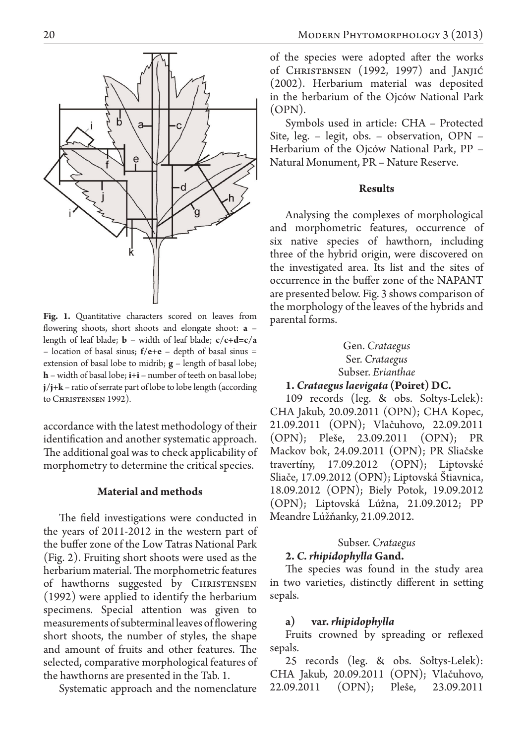

Fig. 1. Quantitative characters scored on leaves from flowering shoots, short shoots and elongate shoot: **a** – length of leaf blade; **b** – width of leaf blade; **c/c+d=c/a** – location of basal sinus; **f/e+e** – depth of basal sinus = extension of basal lobe to midrib; **g** – length of basal lobe; **h** – width of basal lobe; **i+i** – number of teeth on basal lobe; **j/j+k** – ratio of serrate part of lobe to lobe length (according to Christensen 1992).

accordance with the latest methodology of their identification and another systematic approach. The additional goal was to check applicability of morphometry to determine the critical species.

### **Material and methods**

The field investigations were conducted in the years of 2011-2012 in the western part of the buffer zone of the Low Tatras National Park (Fig. 2). Fruiting short shoots were used as the herbarium material. The morphometric features of hawthorns suggested by CHRISTENSEN (1992) were applied to identify the herbarium specimens. Special attention was given to measurements of subterminal leaves of flowering short shoots, the number of styles, the shape and amount of fruits and other features. The selected, comparative morphological features of the hawthorns are presented in the Tab. 1.

Systematic approach and the nomenclature

of the species were adopted after the works of Christensen (1992, 1997) and Janjić (2002). Herbarium material was deposited in the herbarium of the Ojców National Park (OPN).

Symbols used in article: CHA – Protected Site, leg. – legit, obs. – observation, OPN – Herbarium of the Ojców National Park, PP – Natural Monument, PR – Nature Reserve.

## **Results**

Analysing the complexes of morphological and morphometric features, occurrence of six native species of hawthorn, including three of the hybrid origin, were discovered on the investigated area. Its list and the sites of occurrence in the buffer zone of the NAPANT are presented below. Fig. 3 shows comparison of the morphology of the leaves of the hybrids and parental forms.

# Gen. *Crataegus* Ser. *Crataegus* Subser. *Erianthae*

# **1.** *Crataegus laevigata* **(Poiret) DC.**

109 records (leg. & obs. Sołtys-Lelek): CHA Jakub, 20.09.2011 (OPN); CHA Kopec, 21.09.2011 (OPN); Vlačuhovo, 22.09.2011 (OPN); Pleše, 23.09.2011 (OPN); PR Mackov bok, 24.09.2011 (OPN); PR Sliačske travertíny, 17.09.2012 (OPN); Liptovské Sliače, 17.09.2012 (OPN); Liptovská Štiavnica, 18.09.2012 (OPN); Biely Potok, 19.09.2012 (OPN); Liptovská Lúžna, 21.09.2012; PP Meandre Lúžňanky, 21.09.2012.

# Subser. *Crataegus*

# **2.** *C. rhipidophylla* **Gand.**

The species was found in the study area in two varieties, distinctly different in setting sepals.

## **a) var.** *rhipidophylla*

Fruits crowned by spreading or reflexed sepals.

25 records (leg. & obs. Sołtys-Lelek): CHA Jakub, 20.09.2011 (OPN); Vlačuhovo, 22.09.2011 (OPN); Pleše, 23.09.2011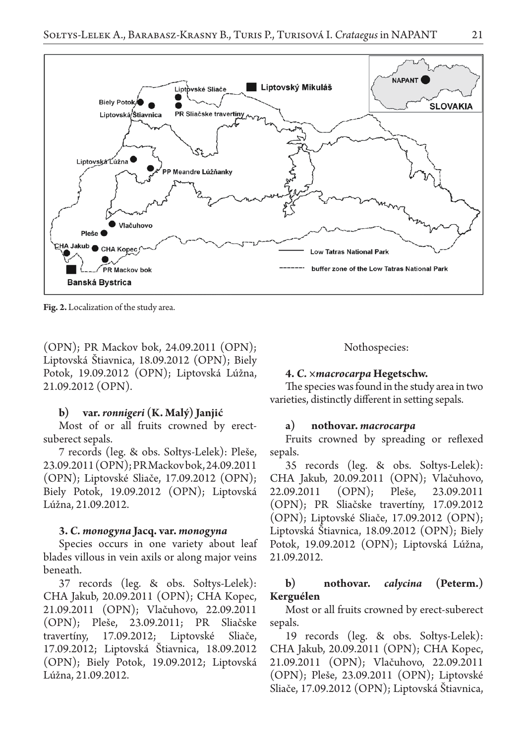

**Fig. 2.** Localization of the study area.

(OPN); PR Mackov bok, 24.09.2011 (OPN); Liptovská Štiavnica, 18.09.2012 (OPN); Biely Potok, 19.09.2012 (OPN); Liptovská Lúžna, 21.09.2012 (OPN).

#### **b) var.** *ronnigeri* **(K. Malý) Janjić**

Most of or all fruits crowned by erectsuberect sepals.

7 records (leg. & obs. Sołtys-Lelek): Pleše, 23.09.2011 (OPN); PR Mackov bok, 24.09.2011 (OPN); Liptovské Sliače, 17.09.2012 (OPN); Biely Potok, 19.09.2012 (OPN); Liptovská Lúžna, 21.09.2012.

### **3.** *C. monogyna* **Jacq. var.** *monogyna*

Species occurs in one variety about leaf blades villous in vein axils or along major veins beneath.

37 records (leg. & obs. Sołtys-Lelek): CHA Jakub, 20.09.2011 (OPN); CHA Kopec, 21.09.2011 (OPN); Vlačuhovo, 22.09.2011 (OPN); Pleše, 23.09.2011; PR Sliačske travertíny, 17.09.2012; Liptovské Sliače, 17.09.2012; Liptovská Štiavnica, 18.09.2012 (OPN); Biely Potok, 19.09.2012; Liptovská Lúžna, 21.09.2012.

#### Nothospecies:

#### **4.** *C. ×macrocarpa* **Hegetschw.**

The species was found in the study area in two varieties, distinctly different in setting sepals.

#### **a) nothovar.** *macrocarpa*

Fruits crowned by spreading or reflexed sepals.

35 records (leg. & obs. Sołtys-Lelek): CHA Jakub, 20.09.2011 (OPN); Vlačuhovo, 22.09.2011 (OPN); Pleše, 23.09.2011 (OPN); PR Sliačske travertíny, 17.09.2012 (OPN); Liptovské Sliače, 17.09.2012 (OPN); Liptovská Štiavnica, 18.09.2012 (OPN); Biely Potok, 19.09.2012 (OPN); Liptovská Lúžna, 21.09.2012.

## **b) nothovar.** *calycina* **(Peterm.) Kerguélen**

Most or all fruits crowned by erect-suberect sepals.

19 records (leg. & obs. Sołtys-Lelek): CHA Jakub, 20.09.2011 (OPN); CHA Kopec, 21.09.2011 (OPN); Vlačuhovo, 22.09.2011 (OPN); Pleše, 23.09.2011 (OPN); Liptovské Sliače, 17.09.2012 (OPN); Liptovská Štiavnica,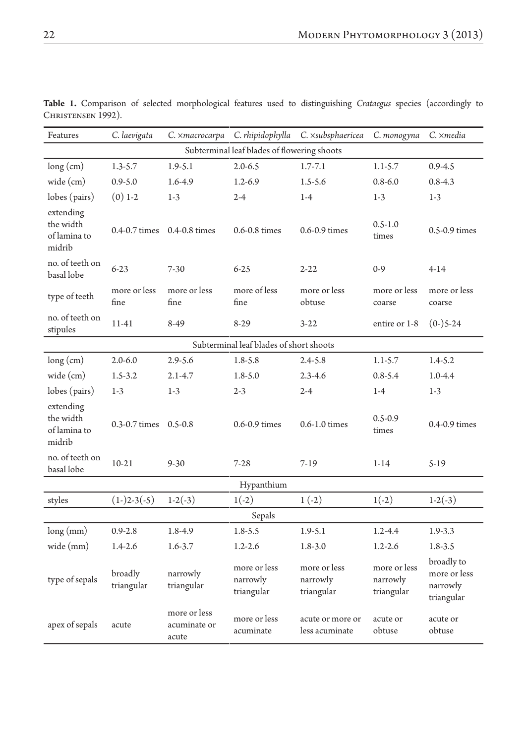| Features                                         | C. laevigata          | C. xmacrocarpa                        | C. rhipidophylla                       | C. xsubsphaericea                      | C. monogyna                            | C. ×media                                            |
|--------------------------------------------------|-----------------------|---------------------------------------|----------------------------------------|----------------------------------------|----------------------------------------|------------------------------------------------------|
| Subterminal leaf blades of flowering shoots      |                       |                                       |                                        |                                        |                                        |                                                      |
| $long$ (cm)                                      | $1.3 - 5.7$           | $1.9 - 5.1$                           | $2.0 - 6.5$                            | $1.7 - 7.1$                            | $1.1 - 5.7$                            | $0.9 - 4.5$                                          |
| wide (cm)                                        | $0.9 - 5.0$           | 1.6-4.9                               | $1.2 - 6.9$                            | $1.5 - 5.6$                            | $0.8 - 6.0$                            | $0.8 - 4.3$                                          |
| lobes (pairs)                                    | $(0)$ 1-2             | $1-3$                                 | $2 - 4$                                | $1-4$                                  | $1-3$                                  | $1-3$                                                |
| extending<br>the width<br>of lamina to<br>midrib | 0.4-0.7 times         | 0.4-0.8 times                         | 0.6-0.8 times                          | $0.6 - 0.9$ times                      | $0.5 - 1.0$<br>times                   | 0.5-0.9 times                                        |
| no. of teeth on<br>basal lobe                    | $6 - 23$              | $7 - 30$                              | $6 - 25$                               | $2 - 22$                               | $0-9$                                  | $4 - 14$                                             |
| type of teeth                                    | more or less<br>fine  | more or less<br>fine                  | more of less<br>fine                   | more or less<br>obtuse                 | more or less<br>coarse                 | more or less<br>coarse                               |
| no. of teeth on<br>stipules                      | 11-41                 | 8-49                                  | $8-29$                                 | $3 - 22$                               | entire or 1-8                          | $(0-)5-24$                                           |
| Subterminal leaf blades of short shoots          |                       |                                       |                                        |                                        |                                        |                                                      |
| $long$ (cm)                                      | $2.0 - 6.0$           | $2.9 - 5.6$                           | $1.8 - 5.8$                            | $2.4 - 5.8$                            | $1.1 - 5.7$                            | $1.4 - 5.2$                                          |
| wide (cm)                                        | $1.5 - 3.2$           | $2.1 - 4.7$                           | $1.8 - 5.0$                            | $2.3 - 4.6$                            | $0.8 - 5.4$                            | $1.0 - 4.4$                                          |
| lobes (pairs)                                    | $1-3$                 | $1-3$                                 | $2 - 3$                                | $2 - 4$                                | $1-4$                                  | $1-3$                                                |
| extending<br>the width<br>of lamina to<br>midrib | 0.3-0.7 times         | $0.5 - 0.8$                           | 0.6-0.9 times                          | $0.6 - 1.0$ times                      | $0.5 - 0.9$<br>times                   | 0.4-0.9 times                                        |
| no. of teeth on<br>basal lobe                    | $10-21$               | $9 - 30$                              | $7 - 28$                               | $7-19$                                 | $1 - 14$                               | $5-19$                                               |
| Hypanthium                                       |                       |                                       |                                        |                                        |                                        |                                                      |
| styles                                           | $(1-)2-3(-5)$         | $1-2(-3)$                             | $1(-2)$                                | $1(-2)$                                | $1(-2)$                                | $1-2(-3)$                                            |
| Sepals                                           |                       |                                       |                                        |                                        |                                        |                                                      |
| long (mm)                                        | $0.9 - 2.8$           | 1.8-4.9                               | $1.8 - 5.5$                            | $1.9 - 5.1$                            | $1.2 - 4.4$                            | $1.9 - 3.3$                                          |
| wide (mm)                                        | $1.4 - 2.6$           | $1.6 - 3.7$                           | $1.2 - 2.6$                            | $1.8 - 3.0$                            | $1.2 - 2.6$                            | $1.8 - 3.5$                                          |
| type of sepals                                   | broadly<br>triangular | narrowly<br>triangular                | more or less<br>narrowly<br>triangular | more or less<br>narrowly<br>triangular | more or less<br>narrowly<br>triangular | broadly to<br>more or less<br>narrowly<br>triangular |
| apex of sepals                                   | acute                 | more or less<br>acuminate or<br>acute | more or less<br>acuminate              | acute or more or<br>less acuminate     | acute or<br>obtuse                     | acute or<br>obtuse                                   |

**Table 1.** Comparison of selected morphological features used to distinguishing *Crataegus* species (accordingly to CHRISTENSEN 1992).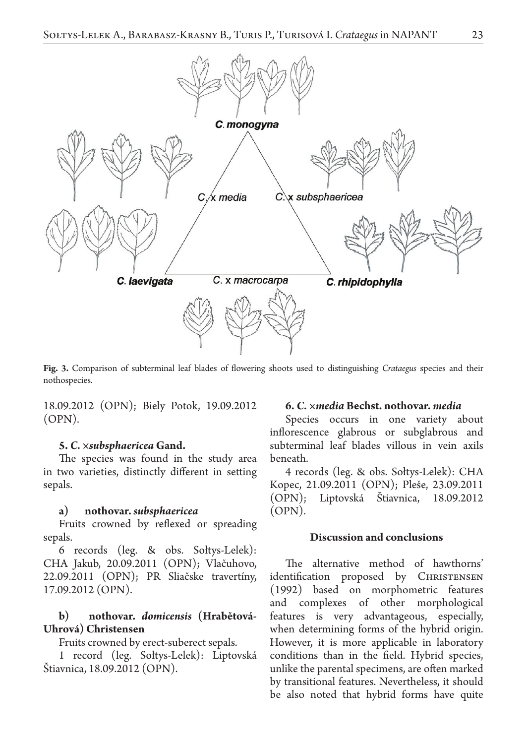

**Fig. 3.** Comparison of subterminal leaf blades of flowering shoots used to distinguishing *Crataegus* species and their nothospecies.

18.09.2012 (OPN); Biely Potok, 19.09.2012 (OPN).

### **5.** *C. ×subsphaericea* **Gand.**

The species was found in the study area in two varieties, distinctly different in setting sepals.

### **a) nothovar.** *subsphaericea*

Fruits crowned by reflexed or spreading sepals.

6 records (leg. & obs. Sołtys-Lelek): CHA Jakub, 20.09.2011 (OPN); Vlačuhovo, 22.09.2011 (OPN); PR Sliačske travertíny, 17.09.2012 (OPN).

# **b) nothovar.** *domicensis* **(Hrabětová-Uhrová) Christensen**

Fruits crowned by erect-suberect sepals.

1 record (leg. Sołtys-Lelek): Liptovská Štiavnica, 18.09.2012 (OPN).

### **6.** *C. ×media* **Bechst. nothovar.** *media*

Species occurs in one variety about inflorescence glabrous or subglabrous and subterminal leaf blades villous in vein axils beneath.

4 records (leg. & obs. Sołtys-Lelek): CHA Kopec, 21.09.2011 (OPN); Pleše, 23.09.2011 (OPN); Liptovská Štiavnica, 18.09.2012 (OPN).

# **Discussion and conclusions**

The alternative method of hawthorns' identification proposed by CHRISTENSEN (1992) based on morphometric features and complexes of other morphological features is very advantageous, especially, when determining forms of the hybrid origin. However, it is more applicable in laboratory conditions than in the field. Hybrid species, unlike the parental specimens, are often marked by transitional features. Nevertheless, it should be also noted that hybrid forms have quite